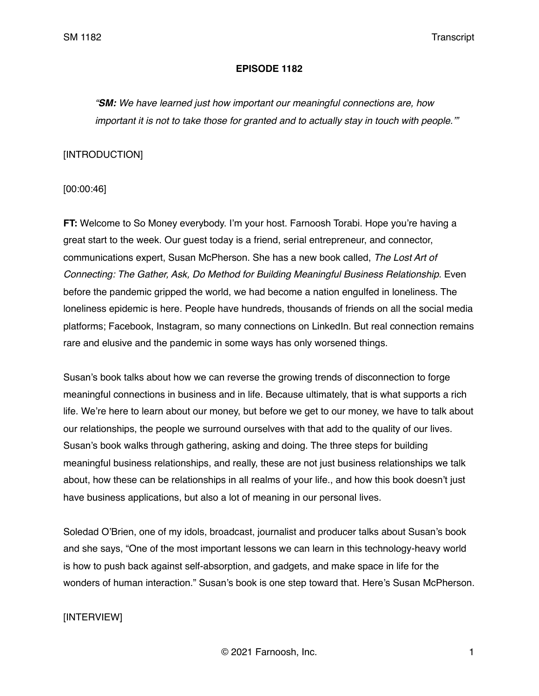## **EPISODE 1182**

*"SM: We have learned just how important our meaningful connections are, how important it is not to take those for granted and to actually stay in touch with people.'"*

## [INTRODUCTION]

[00:00:46]

**FT:** Welcome to So Money everybody. I'm your host. Farnoosh Torabi. Hope you're having a great start to the week. Our guest today is a friend, serial entrepreneur, and connector, communications expert, Susan McPherson. She has a new book called, *The Lost Art of Connecting: The Gather, Ask, Do Method for Building Meaningful Business Relationship.* Even before the pandemic gripped the world, we had become a nation engulfed in loneliness. The loneliness epidemic is here. People have hundreds, thousands of friends on all the social media platforms; Facebook, Instagram, so many connections on LinkedIn. But real connection remains rare and elusive and the pandemic in some ways has only worsened things.

Susan's book talks about how we can reverse the growing trends of disconnection to forge meaningful connections in business and in life. Because ultimately, that is what supports a rich life. We're here to learn about our money, but before we get to our money, we have to talk about our relationships, the people we surround ourselves with that add to the quality of our lives. Susan's book walks through gathering, asking and doing. The three steps for building meaningful business relationships, and really, these are not just business relationships we talk about, how these can be relationships in all realms of your life., and how this book doesn't just have business applications, but also a lot of meaning in our personal lives.

Soledad O'Brien, one of my idols, broadcast, journalist and producer talks about Susan's book and she says, "One of the most important lessons we can learn in this technology-heavy world is how to push back against self-absorption, and gadgets, and make space in life for the wonders of human interaction." Susan's book is one step toward that. Here's Susan McPherson.

# [INTERVIEW]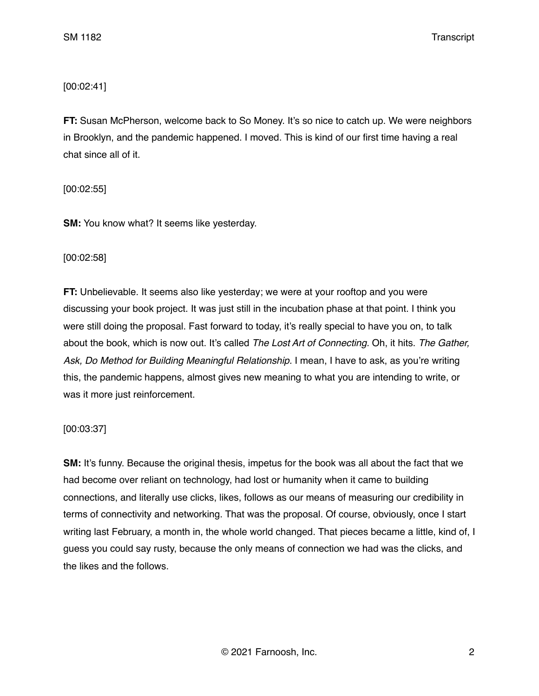# [00:02:41]

**FT:** Susan McPherson, welcome back to So Money. It's so nice to catch up. We were neighbors in Brooklyn, and the pandemic happened. I moved. This is kind of our first time having a real chat since all of it.

[00:02:55]

**SM:** You know what? It seems like yesterday.

# [00:02:58]

**FT:** Unbelievable. It seems also like yesterday; we were at your rooftop and you were discussing your book project. It was just still in the incubation phase at that point. I think you were still doing the proposal. Fast forward to today, it's really special to have you on, to talk about the book, which is now out. It's called *The Lost Art of Connecting.* Oh, it hits. *The Gather, Ask, Do Method for Building Meaningful Relationship.* I mean, I have to ask, as you're writing this, the pandemic happens, almost gives new meaning to what you are intending to write, or was it more just reinforcement.

# [00:03:37]

**SM:** It's funny. Because the original thesis, impetus for the book was all about the fact that we had become over reliant on technology, had lost or humanity when it came to building connections, and literally use clicks, likes, follows as our means of measuring our credibility in terms of connectivity and networking. That was the proposal. Of course, obviously, once I start writing last February, a month in, the whole world changed. That pieces became a little, kind of, I guess you could say rusty, because the only means of connection we had was the clicks, and the likes and the follows.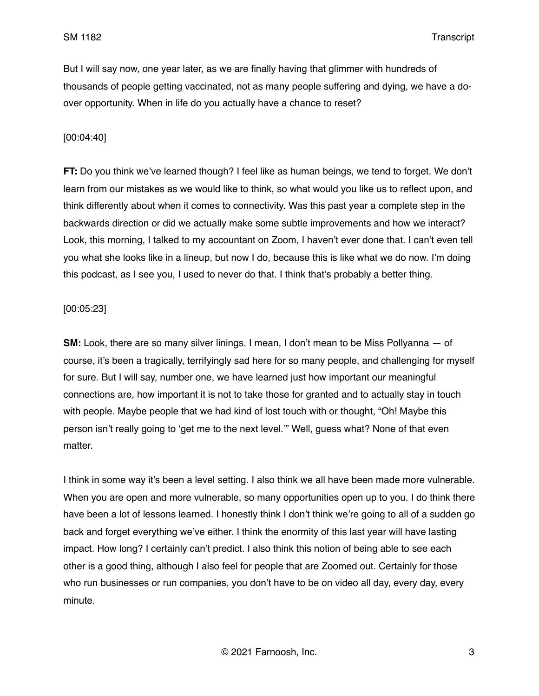But I will say now, one year later, as we are finally having that glimmer with hundreds of thousands of people getting vaccinated, not as many people suffering and dying, we have a doover opportunity. When in life do you actually have a chance to reset?

## [00:04:40]

**FT:** Do you think we've learned though? I feel like as human beings, we tend to forget. We don't learn from our mistakes as we would like to think, so what would you like us to reflect upon, and think differently about when it comes to connectivity. Was this past year a complete step in the backwards direction or did we actually make some subtle improvements and how we interact? Look, this morning, I talked to my accountant on Zoom, I haven't ever done that. I can't even tell you what she looks like in a lineup, but now I do, because this is like what we do now. I'm doing this podcast, as I see you, I used to never do that. I think that's probably a better thing.

## [00:05:23]

**SM:** Look, there are so many silver linings. I mean, I don't mean to be Miss Pollyanna — of course, it's been a tragically, terrifyingly sad here for so many people, and challenging for myself for sure. But I will say, number one, we have learned just how important our meaningful connections are, how important it is not to take those for granted and to actually stay in touch with people. Maybe people that we had kind of lost touch with or thought, "Oh! Maybe this person isn't really going to 'get me to the next level.'" Well, guess what? None of that even matter.

I think in some way it's been a level setting. I also think we all have been made more vulnerable. When you are open and more vulnerable, so many opportunities open up to you. I do think there have been a lot of lessons learned. I honestly think I don't think we're going to all of a sudden go back and forget everything we've either. I think the enormity of this last year will have lasting impact. How long? I certainly can't predict. I also think this notion of being able to see each other is a good thing, although I also feel for people that are Zoomed out. Certainly for those who run businesses or run companies, you don't have to be on video all day, every day, every minute.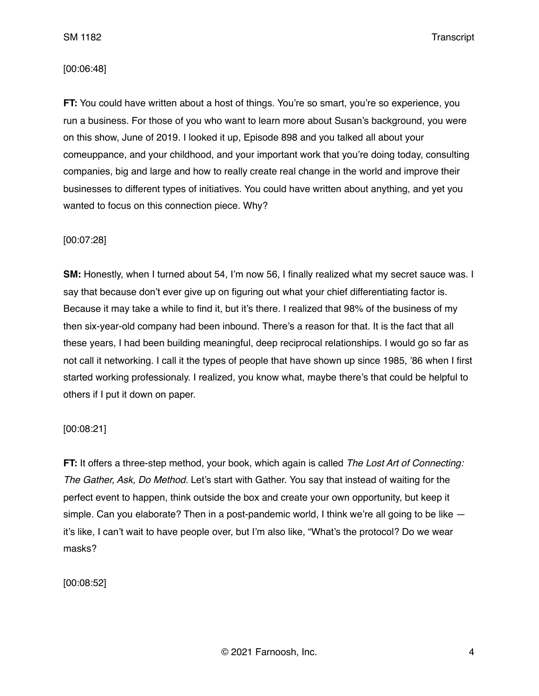SM 1182 Transcript

## [00:06:48]

**FT:** You could have written about a host of things. You're so smart, you're so experience, you run a business. For those of you who want to learn more about Susan's background, you were on this show, June of 2019. I looked it up, Episode 898 and you talked all about your comeuppance, and your childhood, and your important work that you're doing today, consulting companies, big and large and how to really create real change in the world and improve their businesses to different types of initiatives. You could have written about anything, and yet you wanted to focus on this connection piece. Why?

# [00:07:28]

**SM:** Honestly, when I turned about 54, I'm now 56, I finally realized what my secret sauce was. I say that because don't ever give up on figuring out what your chief differentiating factor is. Because it may take a while to find it, but it's there. I realized that 98% of the business of my then six-year-old company had been inbound. There's a reason for that. It is the fact that all these years, I had been building meaningful, deep reciprocal relationships. I would go so far as not call it networking. I call it the types of people that have shown up since 1985, '86 when I first started working professionaly. I realized, you know what, maybe there's that could be helpful to others if I put it down on paper.

#### [00:08:21]

**FT:** It offers a three-step method, your book, which again is called *The Lost Art of Connecting: The Gather, Ask, Do Method.* Let's start with Gather. You say that instead of waiting for the perfect event to happen, think outside the box and create your own opportunity, but keep it simple. Can you elaborate? Then in a post-pandemic world, I think we're all going to be like  $$ it's like, I can't wait to have people over, but I'm also like, "What's the protocol? Do we wear masks?

[00:08:52]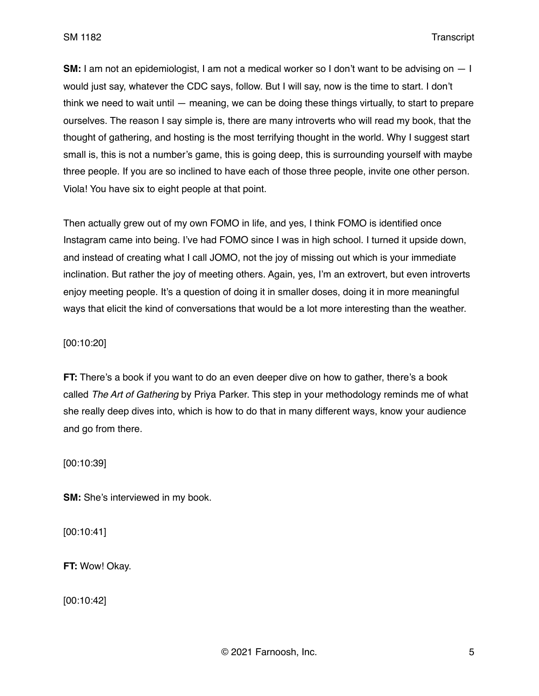**SM:** I am not an epidemiologist, I am not a medical worker so I don't want to be advising on — I would just say, whatever the CDC says, follow. But I will say, now is the time to start. I don't think we need to wait until — meaning, we can be doing these things virtually, to start to prepare ourselves. The reason I say simple is, there are many introverts who will read my book, that the thought of gathering, and hosting is the most terrifying thought in the world. Why I suggest start small is, this is not a number's game, this is going deep, this is surrounding yourself with maybe three people. If you are so inclined to have each of those three people, invite one other person. Viola! You have six to eight people at that point.

Then actually grew out of my own FOMO in life, and yes, I think FOMO is identified once Instagram came into being. I've had FOMO since I was in high school. I turned it upside down, and instead of creating what I call JOMO, not the joy of missing out which is your immediate inclination. But rather the joy of meeting others. Again, yes, I'm an extrovert, but even introverts eniov meeting people. It's a question of doing it in smaller doses, doing it in more meaningful ways that elicit the kind of conversations that would be a lot more interesting than the weather.

#### [00:10:20]

**FT:** There's a book if you want to do an even deeper dive on how to gather, there's a book called *The Art of Gathering* by Priya Parker. This step in your methodology reminds me of what she really deep dives into, which is how to do that in many different ways, know your audience and go from there.

[00:10:39]

**SM:** She's interviewed in my book.

[00:10:41]

**FT:** Wow! Okay.

[00:10:42]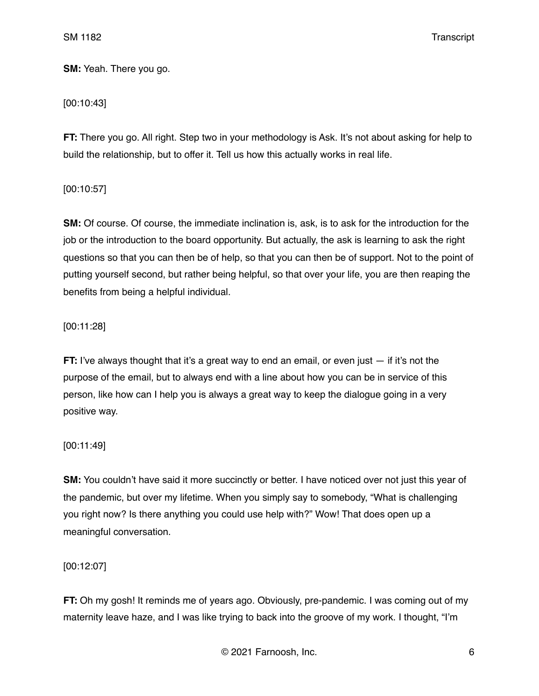SM 1182 Transcript

**SM:** Yeah. There you go.

## [00:10:43]

**FT:** There you go. All right. Step two in your methodology is Ask. It's not about asking for help to build the relationship, but to offer it. Tell us how this actually works in real life.

[00:10:57]

**SM:** Of course. Of course, the immediate inclination is, ask, is to ask for the introduction for the job or the introduction to the board opportunity. But actually, the ask is learning to ask the right questions so that you can then be of help, so that you can then be of support. Not to the point of putting yourself second, but rather being helpful, so that over your life, you are then reaping the benefits from being a helpful individual.

## [00:11:28]

**FT:** I've always thought that it's a great way to end an email, or even just  $-$  if it's not the purpose of the email, but to always end with a line about how you can be in service of this person, like how can I help you is always a great way to keep the dialogue going in a very positive way.

### [00:11:49]

**SM:** You couldn't have said it more succinctly or better. I have noticed over not just this year of the pandemic, but over my lifetime. When you simply say to somebody, "What is challenging you right now? Is there anything you could use help with?" Wow! That does open up a meaningful conversation.

### [00:12:07]

**FT:** Oh my gosh! It reminds me of years ago. Obviously, pre-pandemic. I was coming out of my maternity leave haze, and I was like trying to back into the groove of my work. I thought, "I'm

© 2021 Farnoosh, Inc. 6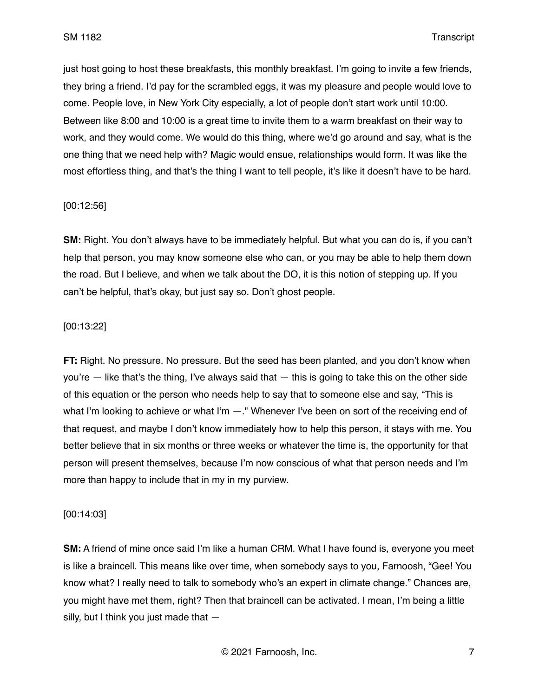just host going to host these breakfasts, this monthly breakfast. I'm going to invite a few friends, they bring a friend. I'd pay for the scrambled eggs, it was my pleasure and people would love to come. People love, in New York City especially, a lot of people don't start work until 10:00. Between like 8:00 and 10:00 is a great time to invite them to a warm breakfast on their way to work, and they would come. We would do this thing, where we'd go around and say, what is the one thing that we need help with? Magic would ensue, relationships would form. It was like the most effortless thing, and that's the thing I want to tell people, it's like it doesn't have to be hard.

## [00:12:56]

**SM:** Right. You don't always have to be immediately helpful. But what you can do is, if you can't help that person, you may know someone else who can, or you may be able to help them down the road. But I believe, and when we talk about the DO, it is this notion of stepping up. If you can't be helpful, that's okay, but just say so. Don't ghost people.

## [00:13:22]

**FT:** Right. No pressure. No pressure. But the seed has been planted, and you don't know when you're — like that's the thing, I've always said that — this is going to take this on the other side of this equation or the person who needs help to say that to someone else and say, "This is what I'm looking to achieve or what I'm  $-$ ." Whenever I've been on sort of the receiving end of that request, and maybe I don't know immediately how to help this person, it stays with me. You better believe that in six months or three weeks or whatever the time is, the opportunity for that person will present themselves, because I'm now conscious of what that person needs and I'm more than happy to include that in my in my purview.

#### [00:14:03]

**SM:** A friend of mine once said I'm like a human CRM. What I have found is, everyone you meet is like a braincell. This means like over time, when somebody says to you, Farnoosh, "Gee! You know what? I really need to talk to somebody who's an expert in climate change." Chances are, you might have met them, right? Then that braincell can be activated. I mean, I'm being a little silly, but I think you just made that —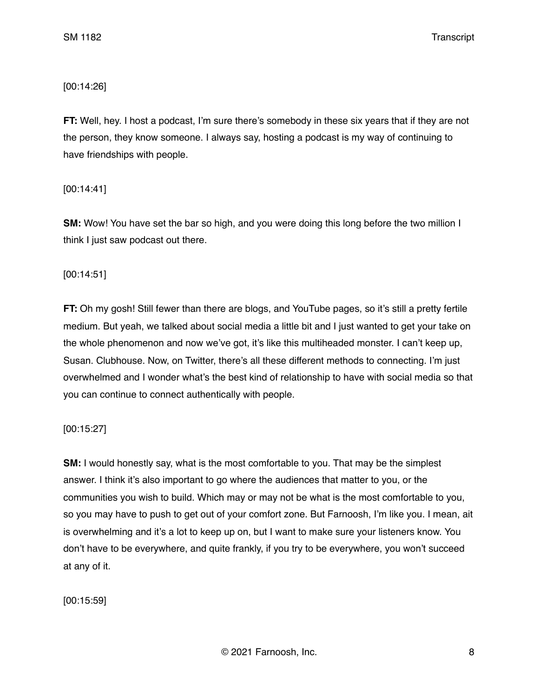# [00:14:26]

**FT:** Well, hey. I host a podcast, I'm sure there's somebody in these six years that if they are not the person, they know someone. I always say, hosting a podcast is my way of continuing to have friendships with people.

[00:14:41]

**SM:** Wow! You have set the bar so high, and you were doing this long before the two million I think I just saw podcast out there.

[00:14:51]

**FT:** Oh my gosh! Still fewer than there are blogs, and YouTube pages, so it's still a pretty fertile medium. But yeah, we talked about social media a little bit and I just wanted to get your take on the whole phenomenon and now we've got, it's like this multiheaded monster. I can't keep up, Susan. Clubhouse. Now, on Twitter, there's all these different methods to connecting. I'm just overwhelmed and I wonder what's the best kind of relationship to have with social media so that you can continue to connect authentically with people.

# [00:15:27]

**SM:** I would honestly say, what is the most comfortable to you. That may be the simplest answer. I think it's also important to go where the audiences that matter to you, or the communities you wish to build. Which may or may not be what is the most comfortable to you, so you may have to push to get out of your comfort zone. But Farnoosh, I'm like you. I mean, ait is overwhelming and it's a lot to keep up on, but I want to make sure your listeners know. You don't have to be everywhere, and quite frankly, if you try to be everywhere, you won't succeed at any of it.

[00:15:59]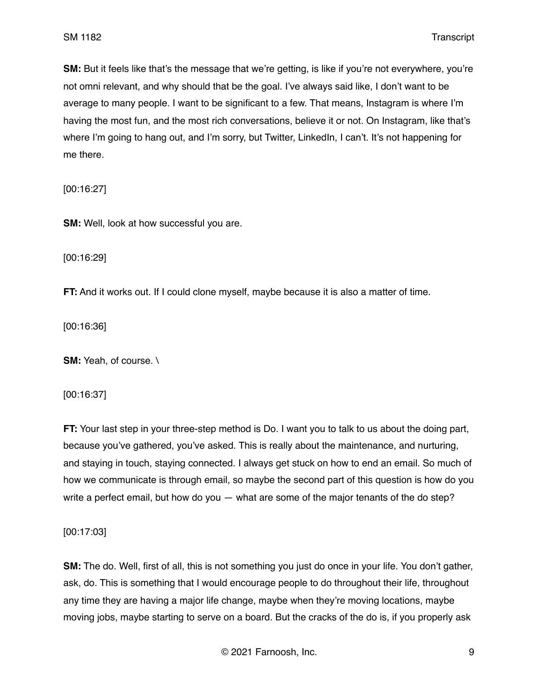**SM:** But it feels like that's the message that we're getting, is like if you're not everywhere, you're not omni relevant, and why should that be the goal. I've always said like, I don't want to be average to many people. I want to be significant to a few. That means, Instagram is where I'm having the most fun, and the most rich conversations, believe it or not. On Instagram, like that's where I'm going to hang out, and I'm sorry, but Twitter, LinkedIn, I can't. It's not happening for me there.

[00:16:27]

**SM:** Well, look at how successful you are.

[00:16:29]

**FT:** And it works out. If I could clone myself, maybe because it is also a matter of time.

[00:16:36]

**SM:** Yeah, of course. \

[00:16:37]

**FT:** Your last step in your three-step method is Do. I want you to talk to us about the doing part, because you've gathered, you've asked. This is really about the maintenance, and nurturing, and staying in touch, staying connected. I always get stuck on how to end an email. So much of how we communicate is through email, so maybe the second part of this question is how do you write a perfect email, but how do you — what are some of the major tenants of the do step?

[00:17:03]

**SM:** The do. Well, first of all, this is not something you just do once in your life. You don't gather, ask, do. This is something that I would encourage people to do throughout their life, throughout any time they are having a major life change, maybe when they're moving locations, maybe moving jobs, maybe starting to serve on a board. But the cracks of the do is, if you properly ask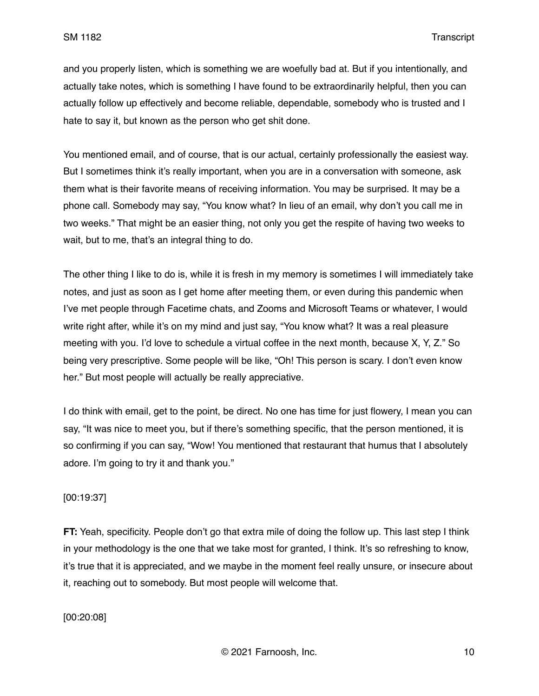and you properly listen, which is something we are woefully bad at. But if you intentionally, and actually take notes, which is something I have found to be extraordinarily helpful, then you can actually follow up effectively and become reliable, dependable, somebody who is trusted and I hate to say it, but known as the person who get shit done.

You mentioned email, and of course, that is our actual, certainly professionally the easiest way. But I sometimes think it's really important, when you are in a conversation with someone, ask them what is their favorite means of receiving information. You may be surprised. It may be a phone call. Somebody may say, "You know what? In lieu of an email, why don't you call me in two weeks." That might be an easier thing, not only you get the respite of having two weeks to wait, but to me, that's an integral thing to do.

The other thing I like to do is, while it is fresh in my memory is sometimes I will immediately take notes, and just as soon as I get home after meeting them, or even during this pandemic when I've met people through Facetime chats, and Zooms and Microsoft Teams or whatever, I would write right after, while it's on my mind and just say, "You know what? It was a real pleasure meeting with you. I'd love to schedule a virtual coffee in the next month, because X, Y, Z." So being very prescriptive. Some people will be like, "Oh! This person is scary. I don't even know her." But most people will actually be really appreciative.

I do think with email, get to the point, be direct. No one has time for just flowery, I mean you can say, "It was nice to meet you, but if there's something specific, that the person mentioned, it is so confirming if you can say, "Wow! You mentioned that restaurant that humus that I absolutely adore. I'm going to try it and thank you."

# [00:19:37]

**FT:** Yeah, specificity. People don't go that extra mile of doing the follow up. This last step I think in your methodology is the one that we take most for granted, I think. It's so refreshing to know, it's true that it is appreciated, and we maybe in the moment feel really unsure, or insecure about it, reaching out to somebody. But most people will welcome that.

[00:20:08]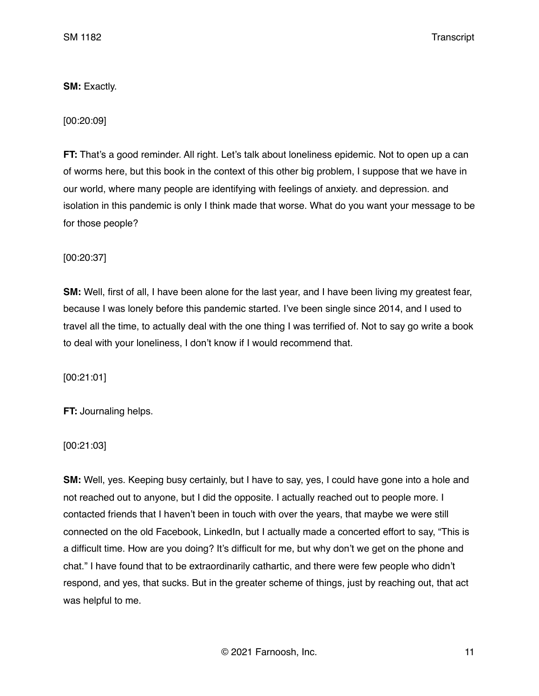# **SM:** Exactly.

[00:20:09]

**FT:** That's a good reminder. All right. Let's talk about loneliness epidemic. Not to open up a can of worms here, but this book in the context of this other big problem, I suppose that we have in our world, where many people are identifying with feelings of anxiety. and depression. and isolation in this pandemic is only I think made that worse. What do you want your message to be for those people?

[00:20:37]

**SM:** Well, first of all, I have been alone for the last year, and I have been living my greatest fear, because I was lonely before this pandemic started. I've been single since 2014, and I used to travel all the time, to actually deal with the one thing I was terrified of. Not to say go write a book to deal with your loneliness, I don't know if I would recommend that.

[00:21:01]

**FT:** Journaling helps.

[00:21:03]

**SM:** Well, yes. Keeping busy certainly, but I have to say, yes, I could have gone into a hole and not reached out to anyone, but I did the opposite. I actually reached out to people more. I contacted friends that I haven't been in touch with over the years, that maybe we were still connected on the old Facebook, LinkedIn, but I actually made a concerted effort to say, "This is a difficult time. How are you doing? It's difficult for me, but why don't we get on the phone and chat." I have found that to be extraordinarily cathartic, and there were few people who didn't respond, and yes, that sucks. But in the greater scheme of things, just by reaching out, that act was helpful to me.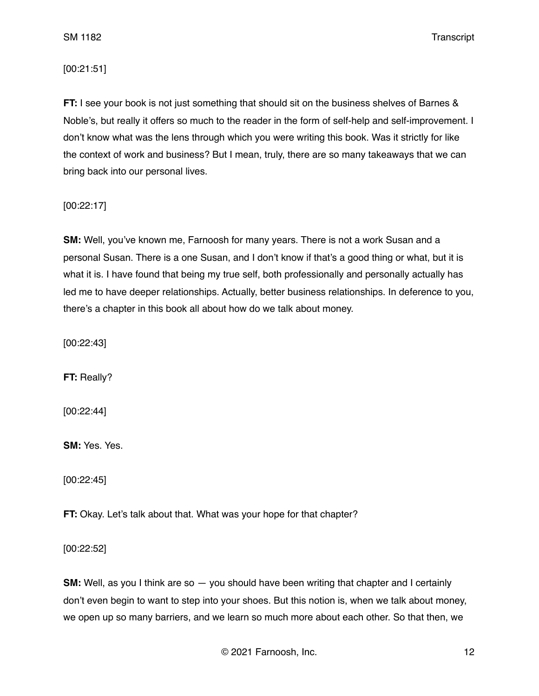SM 1182 Transcript

# [00:21:51]

**FT:** I see your book is not just something that should sit on the business shelves of Barnes & Noble's, but really it offers so much to the reader in the form of self-help and self-improvement. I don't know what was the lens through which you were writing this book. Was it strictly for like the context of work and business? But I mean, truly, there are so many takeaways that we can bring back into our personal lives.

[00:22:17]

**SM:** Well, you've known me, Farnoosh for many years. There is not a work Susan and a personal Susan. There is a one Susan, and I don't know if that's a good thing or what, but it is what it is. I have found that being my true self, both professionally and personally actually has led me to have deeper relationships. Actually, better business relationships. In deference to you, there's a chapter in this book all about how do we talk about money.

[00:22:43]

**FT:** Really?

[00:22:44]

**SM:** Yes. Yes.

[00:22:45]

**FT:** Okay. Let's talk about that. What was your hope for that chapter?

[00:22:52]

**SM:** Well, as you I think are so  $-$  you should have been writing that chapter and I certainly don't even begin to want to step into your shoes. But this notion is, when we talk about money, we open up so many barriers, and we learn so much more about each other. So that then, we

© 2021 Farnoosh, Inc. 12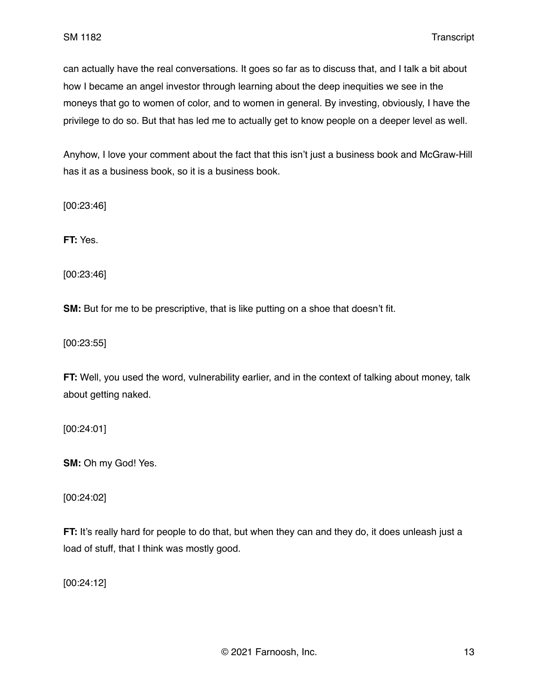can actually have the real conversations. It goes so far as to discuss that, and I talk a bit about how I became an angel investor through learning about the deep inequities we see in the moneys that go to women of color, and to women in general. By investing, obviously, I have the privilege to do so. But that has led me to actually get to know people on a deeper level as well.

Anyhow, I love your comment about the fact that this isn't just a business book and McGraw-Hill has it as a business book, so it is a business book.

[00:23:46]

**FT:** Yes.

[00:23:46]

**SM:** But for me to be prescriptive, that is like putting on a shoe that doesn't fit.

[00:23:55]

**FT:** Well, you used the word, vulnerability earlier, and in the context of talking about money, talk about getting naked.

[00:24:01]

**SM:** Oh my God! Yes.

[00:24:02]

**FT:** It's really hard for people to do that, but when they can and they do, it does unleash just a load of stuff, that I think was mostly good.

[00:24:12]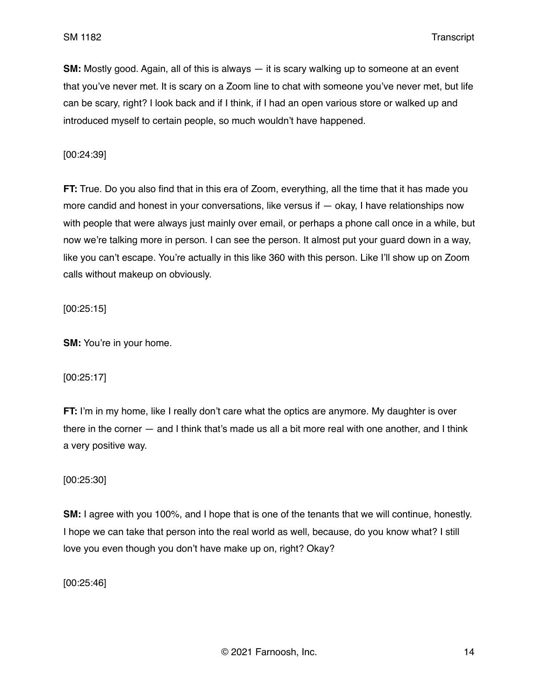**SM:** Mostly good. Again, all of this is always — it is scary walking up to someone at an event that you've never met. It is scary on a Zoom line to chat with someone you've never met, but life can be scary, right? I look back and if I think, if I had an open various store or walked up and introduced myself to certain people, so much wouldn't have happened.

[00:24:39]

**FT:** True. Do you also find that in this era of Zoom, everything, all the time that it has made you more candid and honest in your conversations, like versus if  $-$  okay, I have relationships now with people that were always just mainly over email, or perhaps a phone call once in a while, but now we're talking more in person. I can see the person. It almost put your guard down in a way, like you can't escape. You're actually in this like 360 with this person. Like I'll show up on Zoom calls without makeup on obviously.

[00:25:15]

**SM:** You're in your home.

[00:25:17]

**FT:** I'm in my home, like I really don't care what the optics are anymore. My daughter is over there in the corner — and I think that's made us all a bit more real with one another, and I think a very positive way.

[00:25:30]

**SM:** I agree with you 100%, and I hope that is one of the tenants that we will continue, honestly. I hope we can take that person into the real world as well, because, do you know what? I still love you even though you don't have make up on, right? Okay?

[00:25:46]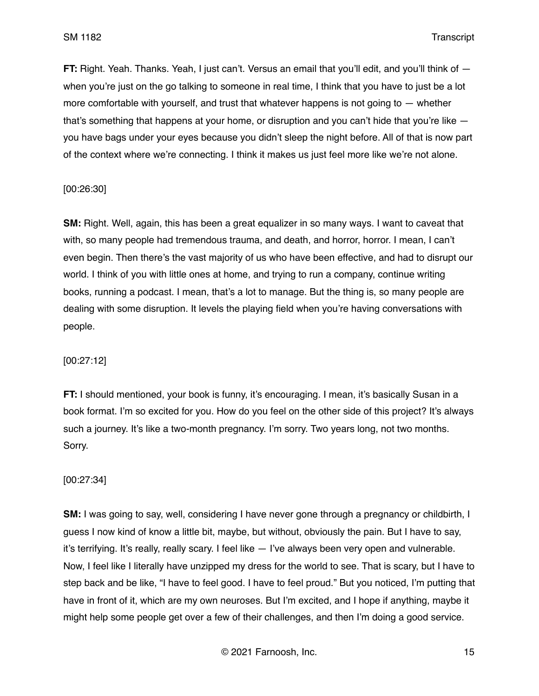**FT:** Right. Yeah. Thanks. Yeah, I just can't. Versus an email that you'll edit, and you'll think of  $$ when you're just on the go talking to someone in real time, I think that you have to just be a lot more comfortable with yourself, and trust that whatever happens is not going to — whether that's something that happens at your home, or disruption and you can't hide that you're like you have bags under your eyes because you didn't sleep the night before. All of that is now part of the context where we're connecting. I think it makes us just feel more like we're not alone.

[00:26:30]

**SM:** Right. Well, again, this has been a great equalizer in so many ways. I want to caveat that with, so many people had tremendous trauma, and death, and horror, horror. I mean, I can't even begin. Then there's the vast majority of us who have been effective, and had to disrupt our world. I think of you with little ones at home, and trying to run a company, continue writing books, running a podcast. I mean, that's a lot to manage. But the thing is, so many people are dealing with some disruption. It levels the playing field when you're having conversations with people.

#### [00:27:12]

**FT:** I should mentioned, your book is funny, it's encouraging. I mean, it's basically Susan in a book format. I'm so excited for you. How do you feel on the other side of this project? It's always such a journey. It's like a two-month pregnancy. I'm sorry. Two years long, not two months. Sorry.

#### [00:27:34]

**SM:** I was going to say, well, considering I have never gone through a pregnancy or childbirth, I guess I now kind of know a little bit, maybe, but without, obviously the pain. But I have to say, it's terrifying. It's really, really scary. I feel like — I've always been very open and vulnerable. Now, I feel like I literally have unzipped my dress for the world to see. That is scary, but I have to step back and be like, "I have to feel good. I have to feel proud." But you noticed, I'm putting that have in front of it, which are my own neuroses. But I'm excited, and I hope if anything, maybe it might help some people get over a few of their challenges, and then I'm doing a good service.

© 2021 Farnoosh, Inc. 15